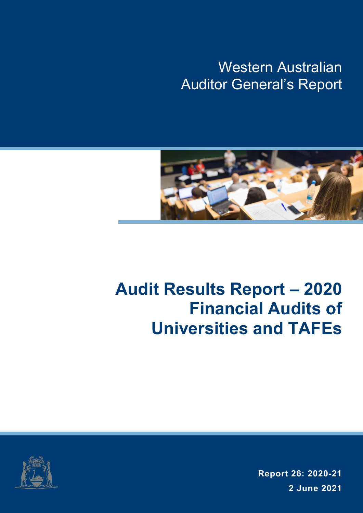Western Australian Auditor General's Report



# **Audit Results Report – 2020 Financial Audits of Universities and TAFEs**



**Report 26: 2020-21 2 June 2021**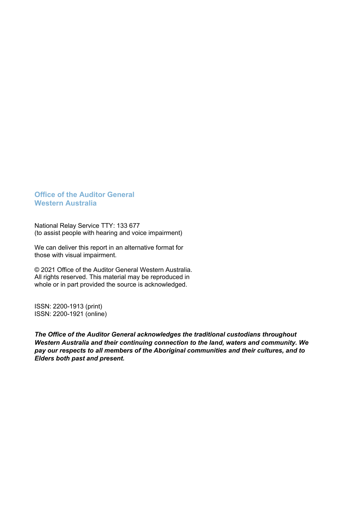#### **Office of the Auditor General Western Australia**

National Relay Service TTY: 133 677 (to assist people with hearing and voice impairment)

We can deliver this report in an alternative format for those with visual impairment.

© 2021 Office of the Auditor General Western Australia. All rights reserved. This material may be reproduced in whole or in part provided the source is acknowledged.

ISSN: 2200-1913 (print) ISSN: 2200-1921 (online)

*The Office of the Auditor General acknowledges the traditional custodians throughout Western Australia and their continuing connection to the land, waters and community. We pay our respects to all members of the Aboriginal communities and their cultures, and to Elders both past and present.*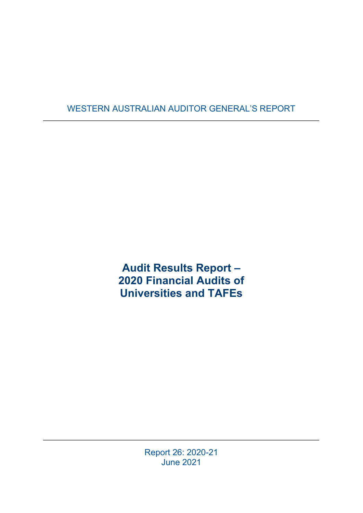### WESTERN AUSTRALIAN AUDITOR GENERAL'S REPORT

**Audit Results Report – 2020 Financial Audits of Universities and TAFEs**

> Report 26: 2020-21 June 2021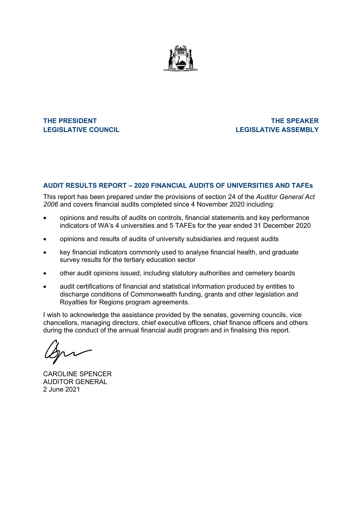

**THE PRESIDENT THE SPEAKER LEGISLATIVE COUNCIL LEGISLATIVE ASSEMBLY**

#### **AUDIT RESULTS REPORT – 2020 FINANCIAL AUDITS OF UNIVERSITIES AND TAFEs**

This report has been prepared under the provisions of section 24 of the *Auditor General Act 2006* and covers financial audits completed since 4 November 2020 including:

- opinions and results of audits on controls, financial statements and key performance indicators of WA's 4 universities and 5 TAFEs for the year ended 31 December 2020
- opinions and results of audits of university subsidiaries and request audits
- key financial indicators commonly used to analyse financial health, and graduate survey results for the tertiary education sector
- other audit opinions issued, including statutory authorities and cemetery boards
- audit certifications of financial and statistical information produced by entities to discharge conditions of Commonwealth funding, grants and other legislation and Royalties for Regions program agreements.

I wish to acknowledge the assistance provided by the senates, governing councils, vice chancellors, managing directors, chief executive officers, chief finance officers and others during the conduct of the annual financial audit program and in finalising this report.

CAROLINE SPENCER AUDITOR GENERAL 2 June 2021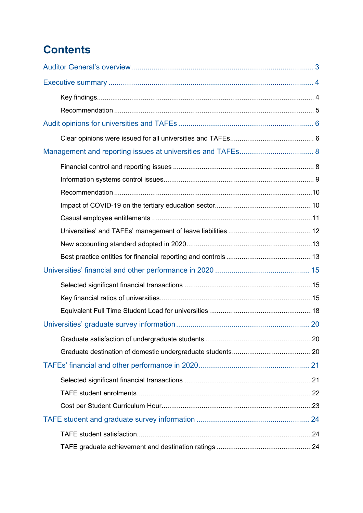# **Contents**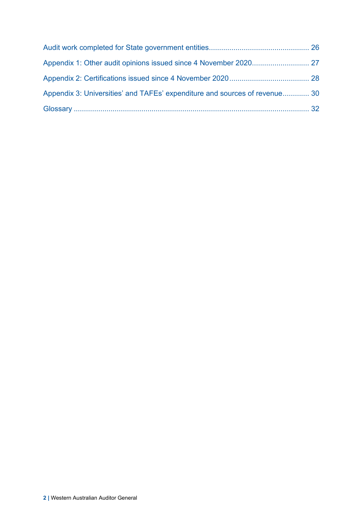| Appendix 3: Universities' and TAFEs' expenditure and sources of revenue 30 |  |
|----------------------------------------------------------------------------|--|
|                                                                            |  |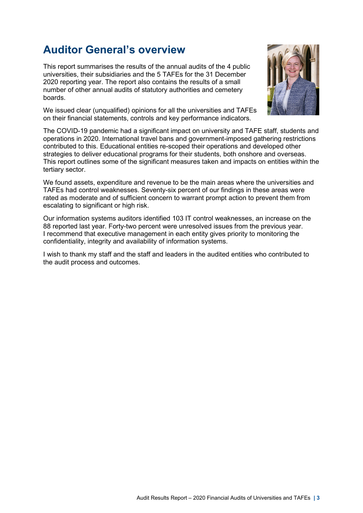### <span id="page-6-0"></span>**Auditor General's overview**

This report summarises the results of the annual audits of the 4 public universities, their subsidiaries and the 5 TAFEs for the 31 December 2020 reporting year. The report also contains the results of a small number of other annual audits of statutory authorities and cemetery boards.



We issued clear (unqualified) opinions for all the universities and TAFEs on their financial statements, controls and key performance indicators.

The COVID-19 pandemic had a significant impact on university and TAFE staff, students and operations in 2020. International travel bans and government-imposed gathering restrictions contributed to this. Educational entities re-scoped their operations and developed other strategies to deliver educational programs for their students, both onshore and overseas. This report outlines some of the significant measures taken and impacts on entities within the tertiary sector.

We found assets, expenditure and revenue to be the main areas where the universities and TAFEs had control weaknesses. Seventy-six percent of our findings in these areas were rated as moderate and of sufficient concern to warrant prompt action to prevent them from escalating to significant or high risk.

Our information systems auditors identified 103 IT control weaknesses, an increase on the 88 reported last year. Forty-two percent were unresolved issues from the previous year. I recommend that executive management in each entity gives priority to monitoring the confidentiality, integrity and availability of information systems.

I wish to thank my staff and the staff and leaders in the audited entities who contributed to the audit process and outcomes.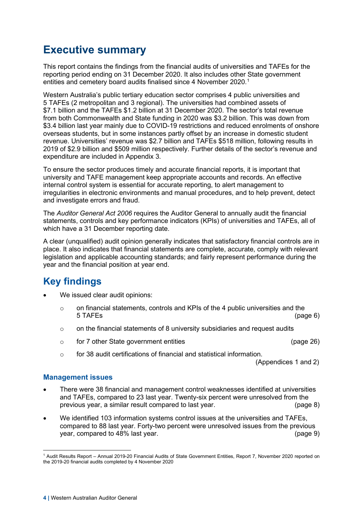### <span id="page-7-0"></span>**Executive summary**

This report contains the findings from the financial audits of universities and TAFEs for the reporting period ending on 31 December 2020. It also includes other State government entities and cemetery board audits finalised since 4 November 2020. [1](#page-7-2)

Western Australia's public tertiary education sector comprises 4 public universities and 5 TAFEs (2 metropolitan and 3 regional). The universities had combined assets of \$7.1 billion and the TAFEs \$1.2 billion at 31 December 2020. The sector's total revenue from both Commonwealth and State funding in 2020 was \$3.2 billion. This was down from \$3.4 billion last year mainly due to COVID-19 restrictions and reduced enrolments of onshore overseas students, but in some instances partly offset by an increase in domestic student revenue. Universities' revenue was \$2.7 billion and TAFEs \$518 million, following results in 2019 of \$2.9 billion and \$509 million respectively. Further details of the sector's revenue and expenditure are included in Appendix 3.

To ensure the sector produces timely and accurate financial reports, it is important that university and TAFE management keep appropriate accounts and records. An effective internal control system is essential for accurate reporting, to alert management to irregularities in electronic environments and manual procedures, and to help prevent, detect and investigate errors and fraud.

The *Auditor General Act 2006* requires the Auditor General to annually audit the financial statements, controls and key performance indicators (KPIs) of universities and TAFEs, all of which have a 31 December reporting date.

A clear (unqualified) audit opinion generally indicates that satisfactory financial controls are in place. It also indicates that financial statements are complete, accurate, comply with relevant legislation and applicable accounting standards; and fairly represent performance during the year and the financial position at year end.

### <span id="page-7-1"></span>**Key findings**

- We issued clear audit opinions:
	- o on financial statements, controls and KPIs of the 4 public universities and the<br>5 TAFEs (page 6) 5 TAFEs (page [6\)](#page-9-1)
	- $\circ$  on the financial statements of 8 university subsidiaries and request audits
	- o for 7 other State government entities (page [26\)](#page-29-1)
	- o for 38 audit certifications of financial and statistical information.

(Appendices 1 and 2)

#### **Management issues**

- There were 38 financial and management control weaknesses identified at universities and TAFEs, compared to 23 last year. Twenty-six percent were unresolved from the previous year, a similar result compared to last year. (page [8\)](#page-11-1)
- We identified 103 information systems control issues at the universities and TAFEs, compared to 88 last year. Forty-two percent were unresolved issues from the previous year, compared to 48% last year. (page [9\)](#page-12-0)

<span id="page-7-2"></span><sup>1</sup> Audit Results Report – Annual 2019-20 Financial Audits of State Government Entities, Report 7, November 2020 reported on the 2019-20 financial audits completed by 4 November 2020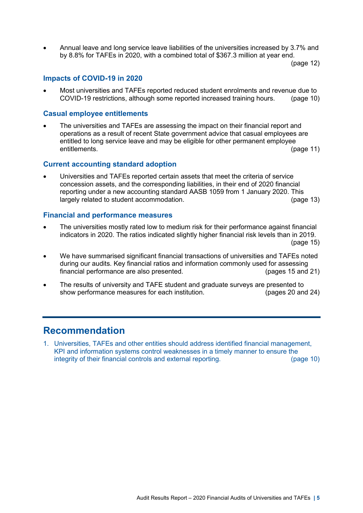• Annual leave and long service leave liabilities of the universities increased by 3.7% and by 8.8% for TAFEs in 2020, with a combined total of \$367.3 million at year end.

(page [12\)](#page-15-0)

#### **Impacts of COVID-19 in 2020**

Most universities and TAFEs reported reduced student enrolments and revenue due to<br>COVID-19 restrictions, although some reported increased training hours. (page 10) COVID-19 restrictions, although some reported increased training hours.

#### **Casual employee entitlements**

• The universities and TAFEs are assessing the impact on their financial report and operations as a result of recent State government advice that casual employees are entitled to long service leave and may be eligible for other permanent employee entitlements. (page [11\)](#page-14-0)

#### **Current accounting standard adoption**

Universities and TAFEs reported certain assets that meet the criteria of service concession assets, and the corresponding liabilities, in their end of 2020 financial reporting under a new accounting standard AASB 1059 from 1 January 2020. This largely related to student accommodation. (page [13\)](#page-16-0)

#### **Financial and performance measures**

• The universities mostly rated low to medium risk for their performance against financial indicators in 2020. The ratios indicated slightly higher financial risk levels than in 2019. (page [15\)](#page-18-2)

- We have summarised significant financial transactions of universities and TAFEs noted during our audits. Key financial ratios and information commonly used for assessing financial performance are also presented. (pages [15](#page-18-1) and [21\)](#page-24-2)
- The results of university and TAFE student and graduate surveys are presented to show performance measures for each institution. (pages [20](#page-23-0) and [24\)](#page-27-0)

### <span id="page-8-0"></span>**Recommendation**

1. Universities, TAFEs and other entities should address identified financial management, KPI and information systems control weaknesses in a timely manner to ensure the integrity of their financial controls and external reporting. (page [10\)](#page-13-0)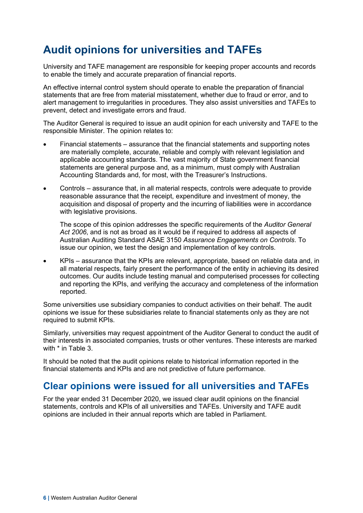### <span id="page-9-0"></span>**Audit opinions for universities and TAFEs**

University and TAFE management are responsible for keeping proper accounts and records to enable the timely and accurate preparation of financial reports.

An effective internal control system should operate to enable the preparation of financial statements that are free from material misstatement, whether due to fraud or error, and to alert management to irregularities in procedures. They also assist universities and TAFEs to prevent, detect and investigate errors and fraud.

The Auditor General is required to issue an audit opinion for each university and TAFE to the responsible Minister. The opinion relates to:

- Financial statements assurance that the financial statements and supporting notes are materially complete, accurate, reliable and comply with relevant legislation and applicable accounting standards. The vast majority of State government financial statements are general purpose and, as a minimum, must comply with Australian Accounting Standards and, for most, with the Treasurer's Instructions.
- Controls assurance that, in all material respects, controls were adequate to provide reasonable assurance that the receipt, expenditure and investment of money, the acquisition and disposal of property and the incurring of liabilities were in accordance with legislative provisions.

The scope of this opinion addresses the specific requirements of the *Auditor General Act 2006*, and is not as broad as it would be if required to address all aspects of Australian Auditing Standard ASAE 3150 *Assurance Engagements on Controls*. To issue our opinion, we test the design and implementation of key controls.

• KPIs – assurance that the KPIs are relevant, appropriate, based on reliable data and, in all material respects, fairly present the performance of the entity in achieving its desired outcomes. Our audits include testing manual and computerised processes for collecting and reporting the KPIs, and verifying the accuracy and completeness of the information reported.

Some universities use subsidiary companies to conduct activities on their behalf. The audit opinions we issue for these subsidiaries relate to financial statements only as they are not required to submit KPIs.

Similarly, universities may request appointment of the Auditor General to conduct the audit of their interests in associated companies, trusts or other ventures. These interests are marked with \* in Table 3.

It should be noted that the audit opinions relate to historical information reported in the financial statements and KPIs and are not predictive of future performance.

### <span id="page-9-1"></span>**Clear opinions were issued for all universities and TAFEs**

For the year ended 31 December 2020, we issued clear audit opinions on the financial statements, controls and KPIs of all universities and TAFEs. University and TAFE audit opinions are included in their annual reports which are tabled in Parliament.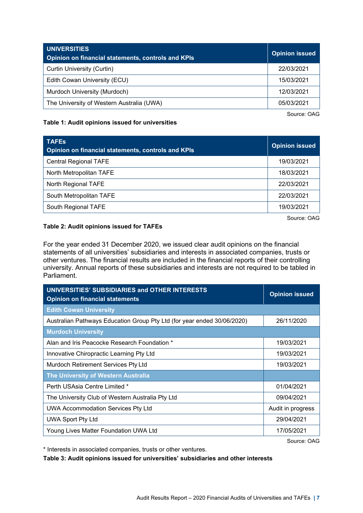| <b>UNIVERSITIES</b><br><b>Opinion on financial statements, controls and KPIs</b> | <b>Opinion issued</b> |
|----------------------------------------------------------------------------------|-----------------------|
| Curtin University (Curtin)                                                       | 22/03/2021            |
| Edith Cowan University (ECU)                                                     | 15/03/2021            |
| Murdoch University (Murdoch)                                                     | 12/03/2021            |
| The University of Western Australia (UWA)                                        | 05/03/2021            |

Source: OAG

#### **Table 1: Audit opinions issued for universities**

| <b>TAFES</b><br><b>Opinion on financial statements, controls and KPIs</b> | Opinion issued         |
|---------------------------------------------------------------------------|------------------------|
| <b>Central Regional TAFE</b>                                              | 19/03/2021             |
| North Metropolitan TAFE                                                   | 18/03/2021             |
| North Regional TAFE                                                       | 22/03/2021             |
| South Metropolitan TAFE                                                   | 22/03/2021             |
| South Regional TAFE                                                       | 19/03/2021             |
|                                                                           | $\sim$<br><u>_ . _</u> |

Source: OAG

#### **Table 2: Audit opinions issued for TAFEs**

For the year ended 31 December 2020, we issued clear audit opinions on the financial statements of all universities' subsidiaries and interests in associated companies, trusts or other ventures. The financial results are included in the financial reports of their controlling university. Annual reports of these subsidiaries and interests are not required to be tabled in Parliament.

| <b>UNIVERSITIES' SUBSIDIARIES and OTHER INTERESTS</b><br><b>Opinion on financial statements</b> | <b>Opinion issued</b> |  |
|-------------------------------------------------------------------------------------------------|-----------------------|--|
| <b>Edith Cowan University</b>                                                                   |                       |  |
| Australian Pathways Education Group Pty Ltd (for year ended 30/06/2020)                         | 26/11/2020            |  |
| <b>Murdoch University</b>                                                                       |                       |  |
| Alan and Iris Peacocke Research Foundation *                                                    | 19/03/2021            |  |
| Innovative Chiropractic Learning Pty Ltd                                                        | 19/03/2021            |  |
| Murdoch Retirement Services Pty Ltd                                                             | 19/03/2021            |  |
| The University of Western Australia                                                             |                       |  |
| Perth USAsia Centre Limited *                                                                   | 01/04/2021            |  |
| The University Club of Western Australia Pty Ltd                                                | 09/04/2021            |  |
| UWA Accommodation Services Pty Ltd                                                              | Audit in progress     |  |
| <b>UWA Sport Pty Ltd</b>                                                                        | 29/04/2021            |  |
| Young Lives Matter Foundation UWA Ltd                                                           | 17/05/2021            |  |

Source: OAG

\* Interests in associated companies, trusts or other ventures.

**Table 3: Audit opinions issued for universities' subsidiaries and other interests**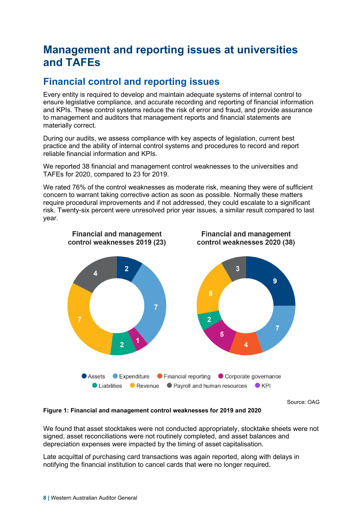### <span id="page-11-0"></span>**Management and reporting issues at universities and TAFEs**

### <span id="page-11-1"></span>**Financial control and reporting issues**

Every entity is required to develop and maintain adequate systems of internal control to ensure legislative compliance, and accurate recording and reporting of financial information and KPIs. These control systems reduce the risk of error and fraud, and provide assurance to management and auditors that management reports and financial statements are materially correct.

During our audits, we assess compliance with key aspects of legislation, current best practice and the ability of internal control systems and procedures to record and report reliable financial information and KPIs.

We reported 38 financial and management control weaknesses to the universities and TAFEs for 2020, compared to 23 for 2019.

We rated 76% of the control weaknesses as moderate risk, meaning they were of sufficient concern to warrant taking corrective action as soon as possible. Normally these matters require procedural improvements and if not addressed, they could escalate to a significant risk. Twenty-six percent were unresolved prior year issues, a similar result compared to last year.



Source: OAG

**Figure 1: Financial and management control weaknesses for 2019 and 2020**

We found that asset stocktakes were not conducted appropriately, stocktake sheets were not signed, asset reconciliations were not routinely completed, and asset balances and depreciation expenses were impacted by the timing of asset capitalisation.

Late acquittal of purchasing card transactions was again reported, along with delays in notifying the financial institution to cancel cards that were no longer required.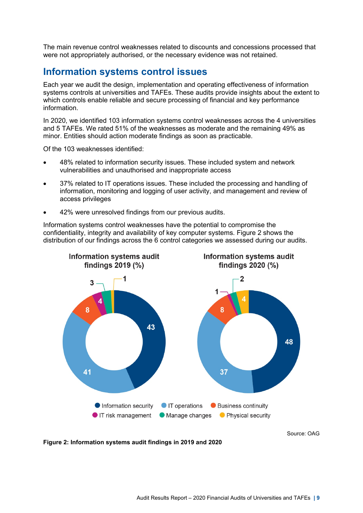The main revenue control weaknesses related to discounts and concessions processed that were not appropriately authorised, or the necessary evidence was not retained.

### <span id="page-12-0"></span>**Information systems control issues**

Each year we audit the design, implementation and operating effectiveness of information systems controls at universities and TAFEs. These audits provide insights about the extent to which controls enable reliable and secure processing of financial and key performance information.

In 2020, we identified 103 information systems control weaknesses across the 4 universities and 5 TAFEs. We rated 51% of the weaknesses as moderate and the remaining 49% as minor. Entities should action moderate findings as soon as practicable.

Of the 103 weaknesses identified:

- 48% related to information security issues. These included system and network vulnerabilities and unauthorised and inappropriate access
- 37% related to IT operations issues. These included the processing and handling of information, monitoring and logging of user activity, and management and review of access privileges
- 42% were unresolved findings from our previous audits.

Information systems control weaknesses have the potential to compromise the confidentiality, integrity and availability of key computer systems. Figure 2 shows the distribution of our findings across the 6 control categories we assessed during our audits.



Source: OAG

**Figure 2: Information systems audit findings in 2019 and 2020**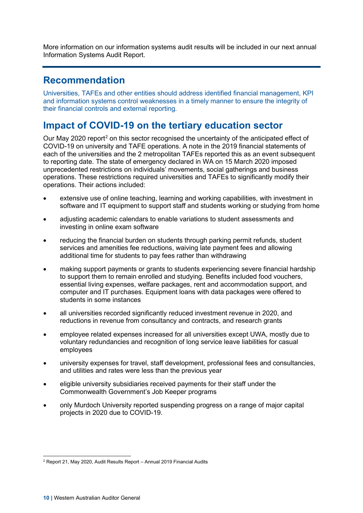More information on our information systems audit results will be included in our next annual Information Systems Audit Report.

### <span id="page-13-0"></span>**Recommendation**

Universities, TAFEs and other entities should address identified financial management, KPI and information systems control weaknesses in a timely manner to ensure the integrity of their financial controls and external reporting.

### <span id="page-13-1"></span>**Impact of COVID-19 on the tertiary education sector**

Our May [2](#page-13-2)020 report<sup>2</sup> on this sector recognised the uncertainty of the anticipated effect of COVID-19 on university and TAFE operations. A note in the 2019 financial statements of each of the universities and the 2 metropolitan TAFEs reported this as an event subsequent to reporting date. The state of emergency declared in WA on 15 March 2020 imposed unprecedented restrictions on individuals' movements, social gatherings and business operations. These restrictions required universities and TAFEs to significantly modify their operations. Their actions included:

- extensive use of online teaching, learning and working capabilities, with investment in software and IT equipment to support staff and students working or studying from home
- adjusting academic calendars to enable variations to student assessments and investing in online exam software
- reducing the financial burden on students through parking permit refunds, student services and amenities fee reductions, waiving late payment fees and allowing additional time for students to pay fees rather than withdrawing
- making support payments or grants to students experiencing severe financial hardship to support them to remain enrolled and studying. Benefits included food vouchers, essential living expenses, welfare packages, rent and accommodation support, and computer and IT purchases. Equipment loans with data packages were offered to students in some instances
- all universities recorded significantly reduced investment revenue in 2020, and reductions in revenue from consultancy and contracts, and research grants
- employee related expenses increased for all universities except UWA, mostly due to voluntary redundancies and recognition of long service leave liabilities for casual employees
- university expenses for travel, staff development, professional fees and consultancies, and utilities and rates were less than the previous year
- eligible university subsidiaries received payments for their staff under the Commonwealth Government's Job Keeper programs
- only Murdoch University reported suspending progress on a range of major capital projects in 2020 due to COVID-19.

<span id="page-13-2"></span><sup>2</sup> Report 21, May 2020, Audit Results Report – Annual 2019 Financial Audits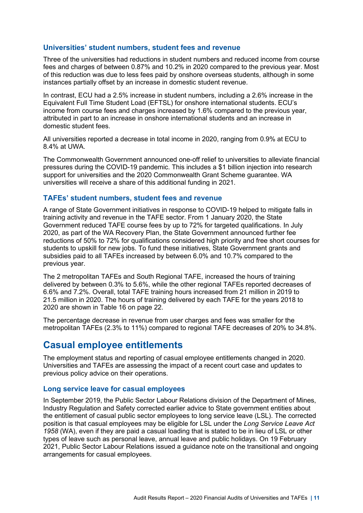#### **Universities' student numbers, student fees and revenue**

Three of the universities had reductions in student numbers and reduced income from course fees and charges of between 0.87% and 10.2% in 2020 compared to the previous year. Most of this reduction was due to less fees paid by onshore overseas students, although in some instances partially offset by an increase in domestic student revenue.

In contrast, ECU had a 2.5% increase in student numbers, including a 2.6% increase in the Equivalent Full Time Student Load (EFTSL) for onshore international students. ECU's income from course fees and charges increased by 1.6% compared to the previous year, attributed in part to an increase in onshore international students and an increase in domestic student fees.

All universities reported a decrease in total income in 2020, ranging from 0.9% at ECU to 8.4% at UWA.

The Commonwealth Government announced one-off relief to universities to alleviate financial pressures during the COVID-19 pandemic. This includes a \$1 billion injection into research support for universities and the 2020 Commonwealth Grant Scheme guarantee. WA universities will receive a share of this additional funding in 2021.

#### **TAFEs' student numbers, student fees and revenue**

A range of State Government initiatives in response to COVID-19 helped to mitigate falls in training activity and revenue in the TAFE sector. From 1 January 2020, the State Government reduced TAFE course fees by up to 72% for targeted qualifications. In July 2020, as part of the WA Recovery Plan, the State Government announced further fee reductions of 50% to 72% for qualifications considered high priority and free short courses for students to upskill for new jobs. To fund these initiatives, State Government grants and subsidies paid to all TAFEs increased by between 6.0% and 10.7% compared to the previous year.

The 2 metropolitan TAFEs and South Regional TAFE, increased the hours of training delivered by between 0.3% to 5.6%, while the other regional TAFEs reported decreases of 6.6% and 7.2%. Overall, total TAFE training hours increased from 21 million in 2019 to 21.5 million in 2020. The hours of training delivered by each TAFE for the years 2018 to 2020 are shown in Table 16 on page [22.](#page-25-0)

The percentage decrease in revenue from user charges and fees was smaller for the metropolitan TAFEs (2.3% to 11%) compared to regional TAFE decreases of 20% to 34.8%.

### <span id="page-14-0"></span>**Casual employee entitlements**

The employment status and reporting of casual employee entitlements changed in 2020. Universities and TAFEs are assessing the impact of a recent court case and updates to previous policy advice on their operations.

#### **Long service leave for casual employees**

In September 2019, the Public Sector Labour Relations division of the Department of Mines, Industry Regulation and Safety corrected earlier advice to State government entities about the entitlement of casual public sector employees to long service leave (LSL). The corrected position is that casual employees may be eligible for LSL under the *Long Service Leave Act 1958* (WA), even if they are paid a casual loading that is stated to be in lieu of LSL or other types of leave such as personal leave, annual leave and public holidays. On 19 February 2021, Public Sector Labour Relations issued a guidance note on the transitional and ongoing arrangements for casual employees.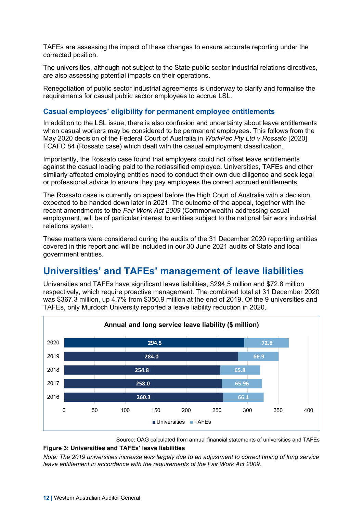TAFEs are assessing the impact of these changes to ensure accurate reporting under the corrected position.

The universities, although not subject to the State public sector industrial relations directives, are also assessing potential impacts on their operations.

Renegotiation of public sector industrial agreements is underway to clarify and formalise the requirements for casual public sector employees to accrue LSL.

#### **Casual employees' eligibility for permanent employee entitlements**

In addition to the LSL issue, there is also confusion and uncertainty about leave entitlements when casual workers may be considered to be permanent employees. This follows from the May 2020 decision of the Federal Court of Australia in *WorkPac Pty Ltd v Rossato* [2020] FCAFC 84 (Rossato case) which dealt with the casual employment classification.

Importantly, the Rossato case found that employers could not offset leave entitlements against the casual loading paid to the reclassified employee. Universities, TAFEs and other similarly affected employing entities need to conduct their own due diligence and seek legal or professional advice to ensure they pay employees the correct accrued entitlements.

The Rossato case is currently on appeal before the High Court of Australia with a decision expected to be handed down later in 2021. The outcome of the appeal, together with the recent amendments to the *Fair Work Act 2009* (Commonwealth) addressing casual employment, will be of particular interest to entities subject to the national fair work industrial relations system.

These matters were considered during the audits of the 31 December 2020 reporting entities covered in this report and will be included in our 30 June 2021 audits of State and local government entities.

### <span id="page-15-0"></span>**Universities' and TAFEs' management of leave liabilities**

Universities and TAFEs have significant leave liabilities, \$294.5 million and \$72.8 million respectively, which require proactive management. The combined total at 31 December 2020 was \$367.3 million, up 4.7% from \$350.9 million at the end of 2019. Of the 9 universities and TAFEs, only Murdoch University reported a leave liability reduction in 2020.



Source: OAG calculated from annual financial statements of universities and TAFEs

#### **Figure 3: Universities and TAFEs' leave liabilities**

*Note: The 2019 universities increase was largely due to an adjustment to correct timing of long service leave entitlement in accordance with the requirements of the Fair Work Act 2009.*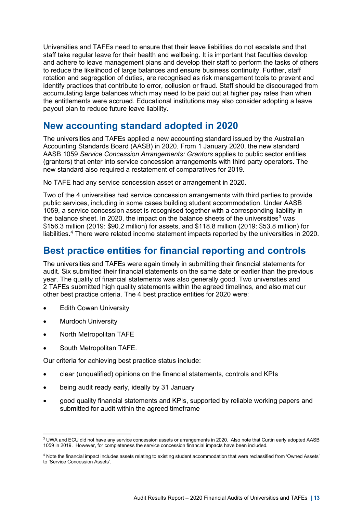Universities and TAFEs need to ensure that their leave liabilities do not escalate and that staff take regular leave for their health and wellbeing. It is important that faculties develop and adhere to leave management plans and develop their staff to perform the tasks of others to reduce the likelihood of large balances and ensure business continuity. Further, staff rotation and segregation of duties, are recognised as risk management tools to prevent and identify practices that contribute to error, collusion or fraud. Staff should be discouraged from accumulating large balances which may need to be paid out at higher pay rates than when the entitlements were accrued. Educational institutions may also consider adopting a leave payout plan to reduce future leave liability.

### <span id="page-16-0"></span>**New accounting standard adopted in 2020**

The universities and TAFEs applied a new accounting standard issued by the Australian Accounting Standards Board (AASB) in 2020. From 1 January 2020, the new standard AASB 1059 *Service Concession Arrangements: Grantors* applies to public sector entities (grantors) that enter into service concession arrangements with third party operators. The new standard also required a restatement of comparatives for 2019.

No TAFE had any service concession asset or arrangement in 2020.

Two of the 4 universities had service concession arrangements with third parties to provide public services, including in some cases building student accommodation. Under AASB 1059, a service concession asset is recognised together with a corresponding liability in the balance sheet. In 2020, the impact on the balance sheets of the universities<sup>[3](#page-16-2)</sup> was \$156.3 million (2019: \$90.2 million) for assets, and \$118.8 million (2019: \$53.8 million) for liabilities.[4](#page-16-3) There were related income statement impacts reported by the universities in 2020.

### <span id="page-16-1"></span>**Best practice entities for financial reporting and controls**

The universities and TAFEs were again timely in submitting their financial statements for audit. Six submitted their financial statements on the same date or earlier than the previous year. The quality of financial statements was also generally good. Two universities and 2 TAFEs submitted high quality statements within the agreed timelines, and also met our other best practice criteria. The 4 best practice entities for 2020 were:

- **Edith Cowan University**
- **Murdoch University**
- North Metropolitan TAFE
- South Metropolitan TAFE.

Our criteria for achieving best practice status include:

- clear (unqualified) opinions on the financial statements, controls and KPIs
- being audit ready early, ideally by 31 January
- good quality financial statements and KPIs, supported by reliable working papers and submitted for audit within the agreed timeframe

<span id="page-16-2"></span><sup>&</sup>lt;sup>3</sup> UWA and ECU did not have any service concession assets or arrangements in 2020. Also note that Curtin early adopted AASB 1059 in 2019. However, for completeness the service concession financial impacts have been included.

<span id="page-16-3"></span><sup>4</sup> Note the financial impact includes assets relating to existing student accommodation that were reclassified from 'Owned Assets' to 'Service Concession Assets'.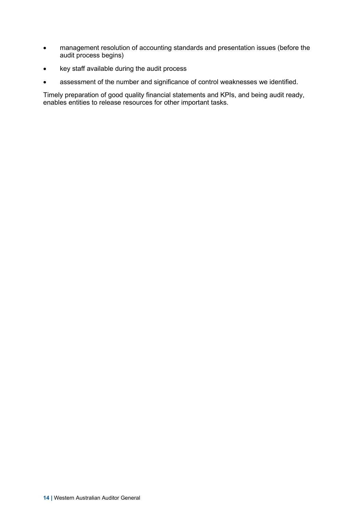- management resolution of accounting standards and presentation issues (before the audit process begins)
- key staff available during the audit process
- assessment of the number and significance of control weaknesses we identified.

Timely preparation of good quality financial statements and KPIs, and being audit ready, enables entities to release resources for other important tasks.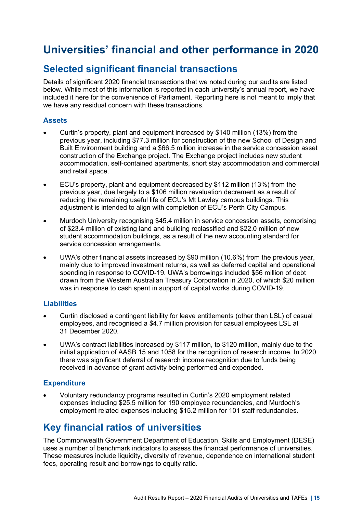### <span id="page-18-0"></span>**Universities' financial and other performance in 2020**

### <span id="page-18-1"></span>**Selected significant financial transactions**

Details of significant 2020 financial transactions that we noted during our audits are listed below. While most of this information is reported in each university's annual report, we have included it here for the convenience of Parliament. Reporting here is not meant to imply that we have any residual concern with these transactions.

#### **Assets**

- Curtin's property, plant and equipment increased by \$140 million (13%) from the previous year, including \$77.3 million for construction of the new School of Design and Built Environment building and a \$66.5 million increase in the service concession asset construction of the Exchange project. The Exchange project includes new student accommodation, self-contained apartments, short stay accommodation and commercial and retail space.
- ECU's property, plant and equipment decreased by \$112 million (13%) from the previous year, due largely to a \$106 million revaluation decrement as a result of reducing the remaining useful life of ECU's Mt Lawley campus buildings. This adjustment is intended to align with completion of ECU's Perth City Campus.
- Murdoch University recognising \$45.4 million in service concession assets, comprising of \$23.4 million of existing land and building reclassified and \$22.0 million of new student accommodation buildings, as a result of the new accounting standard for service concession arrangements.
- UWA's other financial assets increased by \$90 million (10.6%) from the previous year, mainly due to improved investment returns, as well as deferred capital and operational spending in response to COVID-19. UWA's borrowings included \$56 million of debt drawn from the Western Australian Treasury Corporation in 2020, of which \$20 million was in response to cash spent in support of capital works during COVID-19.

#### **Liabilities**

- Curtin disclosed a contingent liability for leave entitlements (other than LSL) of casual employees, and recognised a \$4.7 million provision for casual employees LSL at 31 December 2020.
- UWA's contract liabilities increased by \$117 million, to \$120 million, mainly due to the initial application of AASB 15 and 1058 for the recognition of research income. In 2020 there was significant deferral of research income recognition due to funds being received in advance of grant activity being performed and expended.

#### **Expenditure**

• Voluntary redundancy programs resulted in Curtin's 2020 employment related expenses including \$25.5 million for 190 employee redundancies, and Murdoch's employment related expenses including \$15.2 million for 101 staff redundancies.

### <span id="page-18-2"></span>**Key financial ratios of universities**

The Commonwealth Government Department of Education, Skills and Employment (DESE) uses a number of benchmark indicators to assess the financial performance of universities. These measures include liquidity, diversity of revenue, dependence on international student fees, operating result and borrowings to equity ratio.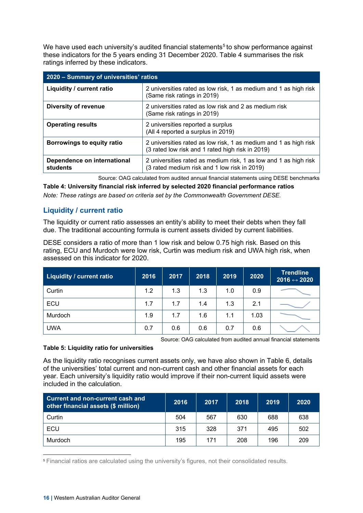We have used each university's audited financial statements<sup>[5](#page-19-0)</sup> to show performance against these indicators for the 5 years ending 31 December 2020. Table 4 summarises the risk ratings inferred by these indicators.

| 2020 - Summary of universities' ratios  |                                                                                                                      |  |  |  |  |  |
|-----------------------------------------|----------------------------------------------------------------------------------------------------------------------|--|--|--|--|--|
| Liquidity / current ratio               | 2 universities rated as low risk, 1 as medium and 1 as high risk<br>(Same risk ratings in 2019)                      |  |  |  |  |  |
| <b>Diversity of revenue</b>             | 2 universities rated as low risk and 2 as medium risk<br>(Same risk ratings in 2019)                                 |  |  |  |  |  |
| <b>Operating results</b>                | 2 universities reported a surplus<br>(All 4 reported a surplus in 2019)                                              |  |  |  |  |  |
| <b>Borrowings to equity ratio</b>       | 2 universities rated as low risk, 1 as medium and 1 as high risk<br>(3 rated low risk and 1 rated high risk in 2019) |  |  |  |  |  |
| Dependence on international<br>students | 2 universities rated as medium risk, 1 as low and 1 as high risk<br>(3 rated medium risk and 1 low risk in 2019)     |  |  |  |  |  |

Source: OAG calculated from audited annual financial statements using DESE benchmarks

**Table 4: University financial risk inferred by selected 2020 financial performance ratios** *Note: These ratings are based on criteria set by the Commonwealth Government DESE.*

#### **Liquidity / current ratio**

The liquidity or current ratio assesses an entity's ability to meet their debts when they fall due. The traditional accounting formula is current assets divided by current liabilities.

DESE considers a ratio of more than 1 low risk and below 0.75 high risk. Based on this rating, ECU and Murdoch were low risk, Curtin was medium risk and UWA high risk, when assessed on this indicator for 2020.

| Liquidity / current ratio | 2016 | 2017 | 2018 | 2019 | 2020 | <b>Trendline</b><br>2016 $\leftrightarrow$ 2020 |
|---------------------------|------|------|------|------|------|-------------------------------------------------|
| Curtin                    | 1.2  | 1.3  | 1.3  | 1.0  | 0.9  |                                                 |
| ECU                       | 1.7  | 1.7  | 1.4  | 1.3  | 2.1  |                                                 |
| Murdoch                   | 1.9  | 1.7  | 1.6  | 1.1  | 1.03 |                                                 |
| <b>UWA</b>                | 0.7  | 0.6  | 0.6  | 0.7  | 0.6  |                                                 |

Source: OAG calculated from audited annual financial statements

#### **Table 5: Liquidity ratio for universities**

As the liquidity ratio recognises current assets only, we have also shown in Table 6, details of the universities' total current and non-current cash and other financial assets for each year. Each university's liquidity ratio would improve if their non-current liquid assets were included in the calculation.

| <b>Current and non-current cash and</b><br>other financial assets (\$ million) | 2016 | 2017 | 2018 | 2019 | 2020 |
|--------------------------------------------------------------------------------|------|------|------|------|------|
| Curtin                                                                         | 504  | 567  | 630  | 688  | 638  |
| <b>ECU</b>                                                                     | 315  | 328  | 371  | 495  | 502  |
| Murdoch                                                                        | 195  | 171  | 208  | 196  | 209  |

<span id="page-19-0"></span><sup>5</sup> Financial ratios are calculated using the university's figures, not their consolidated results.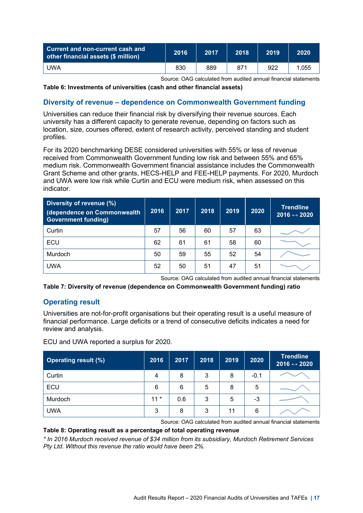| <b>Current and non-current cash and</b><br>other financial assets (\$ million) | 2016 | 2017 | 2018 | 2019 | 2020  |
|--------------------------------------------------------------------------------|------|------|------|------|-------|
| <b>UWA</b>                                                                     | 830  | 889  | 871  | 922  | 1.055 |

Source: OAG calculated from audited annual financial statements

#### **Table 6: Investments of universities (cash and other financial assets)**

#### **Diversity of revenue – dependence on Commonwealth Government funding**

Universities can reduce their financial risk by diversifying their revenue sources. Each university has a different capacity to generate revenue, depending on factors such as location, size, courses offered, extent of research activity, perceived standing and student profiles.

For its 2020 benchmarking DESE considered universities with 55% or less of revenue received from Commonwealth Government funding low risk and between 55% and 65% medium risk. Commonwealth Government financial assistance includes the Commonwealth Grant Scheme and other grants, HECS-HELP and FEE-HELP payments. For 2020, Murdoch and UWA were low risk while Curtin and ECU were medium risk, when assessed on this indicator.

| Diversity of revenue (%)<br>dependence on Commonwealth<br><b>Government funding)</b> | 2016 | 2017 | 2018 | 2019 | 2020 | <b>Trendline</b><br>$2016 \leftrightarrow 2020$ |
|--------------------------------------------------------------------------------------|------|------|------|------|------|-------------------------------------------------|
| Curtin                                                                               | 57   | 56   | 60   | 57   | 63   |                                                 |
| ECU                                                                                  | 62   | 61   | 61   | 58   | 60   |                                                 |
| Murdoch                                                                              | 50   | 59   | 55   | 52   | 54   |                                                 |
| <b>UWA</b>                                                                           | 52   | 50   | 51   | 47   | 51   |                                                 |

Source: OAG calculated from audited annual financial statements

**Table 7: Diversity of revenue (dependence on Commonwealth Government funding) ratio**

#### **Operating result**

Universities are not-for-profit organisations but their operating result is a useful measure of financial performance. Large deficits or a trend of consecutive deficits indicates a need for review and analysis.

ECU and UWA reported a surplus for 2020.

| <b>Operating result (%)</b> | 2016  | 2017 | 2018 | 2019 | 2020   | <b>Trendline</b><br>2016 $\leftrightarrow$ 2020 |
|-----------------------------|-------|------|------|------|--------|-------------------------------------------------|
| Curtin                      | 4     | 8    | 3    | 8    | $-0.1$ |                                                 |
| ECU                         | 6     | 6    | 5    | 8    | 5      |                                                 |
| Murdoch                     | $11*$ | 0.6  | 3    | 5    | -3     |                                                 |
| <b>UWA</b>                  | 3     | 8    | 3    | 11   | 6      |                                                 |

Source: OAG calculated from audited annual financial statements

#### **Table 8: Operating result as a percentage of total operating revenue**

*\* In 2016 Murdoch received revenue of \$34 million from its subsidiary, Murdoch Retirement Services Pty Ltd. Without this revenue the ratio would have been 2%.*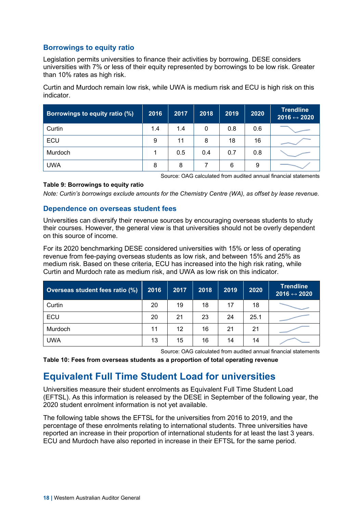#### **Borrowings to equity ratio**

Legislation permits universities to finance their activities by borrowing. DESE considers universities with 7% or less of their equity represented by borrowings to be low risk. Greater than 10% rates as high risk.

Curtin and Murdoch remain low risk, while UWA is medium risk and ECU is high risk on this indicator.

| Borrowings to equity ratio (%) | 2016 | 2017 | 2018 | 2019 | 2020 | <b>Trendline</b><br>2016 $\leftrightarrow$ 2020 |
|--------------------------------|------|------|------|------|------|-------------------------------------------------|
| Curtin                         | 1.4  | 1.4  | 0    | 0.8  | 0.6  |                                                 |
| ECU                            | 9    | 11   | 8    | 18   | 16   |                                                 |
| Murdoch                        |      | 0.5  | 0.4  | 0.7  | 0.8  |                                                 |
| <b>UWA</b>                     | 8    | 8    |      | 6    | 9    |                                                 |

Source: OAG calculated from audited annual financial statements

#### **Table 9: Borrowings to equity ratio**

*Note: Curtin's borrowings exclude amounts for the Chemistry Centre (WA), as offset by lease revenue.*

#### **Dependence on overseas student fees**

Universities can diversify their revenue sources by encouraging overseas students to study their courses. However, the general view is that universities should not be overly dependent on this source of income.

For its 2020 benchmarking DESE considered universities with 15% or less of operating revenue from fee-paying overseas students as low risk, and between 15% and 25% as medium risk. Based on these criteria, ECU has increased into the high risk rating, while Curtin and Murdoch rate as medium risk, and UWA as low risk on this indicator.

| Overseas student fees ratio (%) | 2016 | 2017 | 2018 | 2019 | 2020 | <b>Trendline</b><br>2016 $\leftrightarrow$ 2020 |
|---------------------------------|------|------|------|------|------|-------------------------------------------------|
| Curtin                          | 20   | 19   | 18   | 17   | 18   |                                                 |
| ECU                             | 20   | 21   | 23   | 24   | 25.1 |                                                 |
| Murdoch                         | 11   | 12   | 16   | 21   | 21   |                                                 |
| <b>UWA</b>                      | 13   | 15   | 16   | 14   | 14   |                                                 |

Source: OAG calculated from audited annual financial statements

**Table 10: Fees from overseas students as a proportion of total operating revenue**

### <span id="page-21-0"></span>**Equivalent Full Time Student Load for universities**

Universities measure their student enrolments as Equivalent Full Time Student Load (EFTSL). As this information is released by the DESE in September of the following year, the 2020 student enrolment information is not yet available.

The following table shows the EFTSL for the universities from 2016 to 2019, and the percentage of these enrolments relating to international students. Three universities have reported an increase in their proportion of international students for at least the last 3 years. ECU and Murdoch have also reported in increase in their EFTSL for the same period.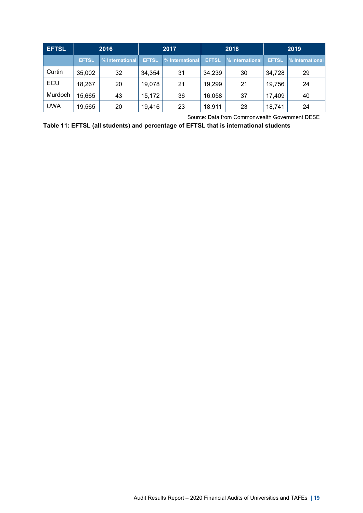| <b>EFTSL</b> |              | 2016            | 2019<br>2018<br>2017 |                 |              |                 |              |                 |
|--------------|--------------|-----------------|----------------------|-----------------|--------------|-----------------|--------------|-----------------|
|              | <b>EFTSL</b> | % International | <b>EFTSL</b>         | % International | <b>EFTSL</b> | % International | <b>EFTSL</b> | % International |
| Curtin       | 35,002       | 32              | 34,354               | 31              | 34,239       | 30              | 34,728       | 29              |
| ECU          | 18,267       | 20              | 19,078               | 21              | 19,299       | 21              | 19,756       | 24              |
| Murdoch      | 15,665       | 43              | 15,172               | 36              | 16,058       | 37              | 17,409       | 40              |
| <b>UWA</b>   | 19,565       | 20              | 19,416               | 23              | 18,911       | 23              | 18,741       | 24              |

Source: Data from Commonwealth Government DESE

**Table 11: EFTSL (all students) and percentage of EFTSL that is international students**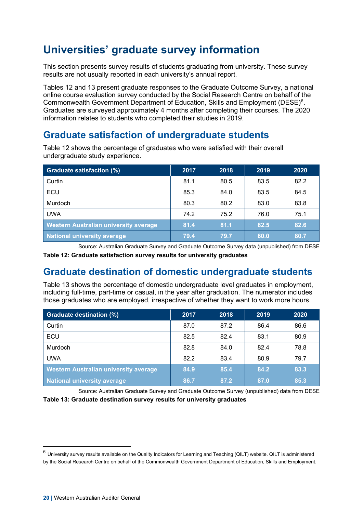## <span id="page-23-0"></span>**Universities' graduate survey information**

This section presents survey results of students graduating from university. These survey results are not usually reported in each university's annual report.

Tables 12 and 13 present graduate responses to the Graduate Outcome Survey, a national online course evaluation survey conducted by the Social Research Centre on behalf of the Commonwealth Government Department of Education, Skills and Employment (DESE)<sup>[6](#page-23-3)</sup>. Graduates are surveyed approximately 4 months after completing their courses. The 2020 information relates to students who completed their studies in 2019.

### <span id="page-23-1"></span>**Graduate satisfaction of undergraduate students**

| <b>Graduate satisfaction (%)</b>      | 2017 | 2018 | 2019 | 2020 |
|---------------------------------------|------|------|------|------|
| Curtin                                | 81.1 | 80.5 | 83.5 | 82.2 |
| ECU                                   | 85.3 | 84.0 | 83.5 | 84.5 |
| Murdoch                               | 80.3 | 80.2 | 83.0 | 83.8 |
| <b>UWA</b>                            | 74.2 | 75.2 | 76.0 | 75.1 |
| Western Australian university average | 81.4 | 81.1 | 82.5 | 82.6 |
| <b>National university average</b>    | 79.4 | 79.7 | 80.0 | 80.7 |

Table 12 shows the percentage of graduates who were satisfied with their overall undergraduate study experience.

Source: Australian Graduate Survey and Graduate Outcome Survey data (unpublished) from DESE

**Table 12: Graduate satisfaction survey results for university graduates**

### <span id="page-23-2"></span>**Graduate destination of domestic undergraduate students**

Table 13 shows the percentage of domestic undergraduate level graduates in employment, including full-time, part-time or casual, in the year after graduation. The numerator includes those graduates who are employed, irrespective of whether they want to work more hours.

| <b>Graduate destination (%)</b>              | 2017 | 2018 | 2019 | 2020 |
|----------------------------------------------|------|------|------|------|
| Curtin                                       | 87.0 | 87.2 | 86.4 | 86.6 |
| ECU                                          | 82.5 | 82.4 | 83.1 | 80.9 |
| Murdoch                                      | 82.8 | 84.0 | 82.4 | 78.8 |
| <b>UWA</b>                                   | 82.2 | 83.4 | 80.9 | 79.7 |
| <b>Western Australian university average</b> | 84.9 | 85.4 | 84.2 | 83.3 |
| National university average                  | 86.7 | 87.2 | 87.0 | 85.3 |

Source: Australian Graduate Survey and Graduate Outcome Survey (unpublished) data from DESE **Table 13: Graduate destination survey results for university graduates**

<span id="page-23-3"></span> $6$  University survey results available on the Quality Indicators for Learning and Teaching (QILT) website. QILT is administered by the Social Research Centre on behalf of the Commonwealth Government Department of Education, Skills and Employment.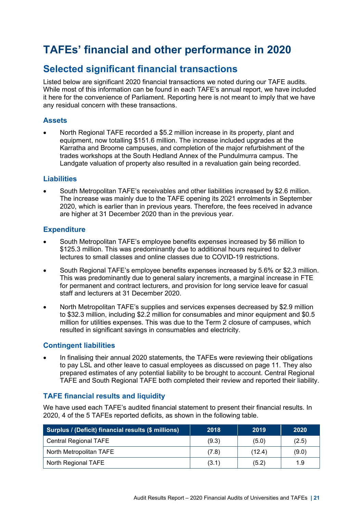### <span id="page-24-0"></span>**TAFEs' financial and other performance in 2020**

### <span id="page-24-1"></span>**Selected significant financial transactions**

Listed below are significant 2020 financial transactions we noted during our TAFE audits. While most of this information can be found in each TAFE's annual report, we have included it here for the convenience of Parliament. Reporting here is not meant to imply that we have any residual concern with these transactions.

#### **Assets**

• North Regional TAFE recorded a \$5.2 million increase in its property, plant and equipment, now totalling \$151.6 million. The increase included upgrades at the Karratha and Broome campuses, and completion of the major refurbishment of the trades workshops at the South Hedland Annex of the Pundulmurra campus. The Landgate valuation of property also resulted in a revaluation gain being recorded.

#### **Liabilities**

• South Metropolitan TAFE's receivables and other liabilities increased by \$2.6 million. The increase was mainly due to the TAFE opening its 2021 enrolments in September 2020, which is earlier than in previous years. Therefore, the fees received in advance are higher at 31 December 2020 than in the previous year.

#### **Expenditure**

- South Metropolitan TAFE's employee benefits expenses increased by \$6 million to \$125.3 million. This was predominantly due to additional hours required to deliver lectures to small classes and online classes due to COVID-19 restrictions.
- South Regional TAFE's employee benefits expenses increased by 5.6% or \$2.3 million. This was predominantly due to general salary increments, a marginal increase in FTE for permanent and contract lecturers, and provision for long service leave for casual staff and lecturers at 31 December 2020.
- North Metropolitan TAFE's supplies and services expenses decreased by \$2.9 million to \$32.3 million, including \$2.2 million for consumables and minor equipment and \$0.5 million for utilities expenses. This was due to the Term 2 closure of campuses, which resulted in significant savings in consumables and electricity.

#### **Contingent liabilities**

• In finalising their annual 2020 statements, the TAFEs were reviewing their obligations to pay LSL and other leave to casual employees as discussed on page [11.](#page-14-0) They also prepared estimates of any potential liability to be brought to account. Central Regional TAFE and South Regional TAFE both completed their review and reported their liability.

#### <span id="page-24-2"></span>**TAFE financial results and liquidity**

We have used each TAFE's audited financial statement to present their financial results. In 2020, 4 of the 5 TAFEs reported deficits, as shown in the following table.

| Surplus / (Deficit) financial results (\$ millions) | 2018  | 2019   | 2020  |
|-----------------------------------------------------|-------|--------|-------|
| <b>Central Regional TAFE</b>                        | (9.3) | (5.0)  | (2.5) |
| North Metropolitan TAFE                             | (7.8) | (12.4) | (9.0) |
| North Regional TAFE                                 | (3.1) | (5.2)  | 1.9   |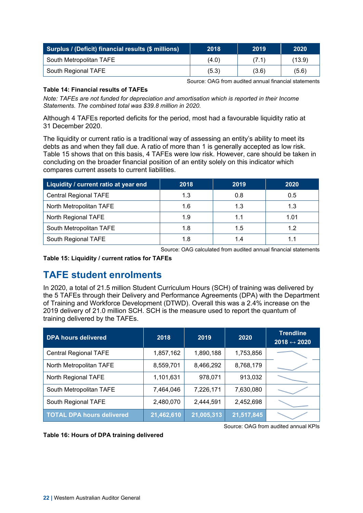| Surplus / (Deficit) financial results (\$ millions) | 2018  | 2019  | 2020   |
|-----------------------------------------------------|-------|-------|--------|
| South Metropolitan TAFE                             | (4.0) | (7.1) | (13.9) |
| South Regional TAFE                                 | (5.3) | (3.6) | (5.6)  |

Source: OAG from audited annual financial statements

#### **Table 14: Financial results of TAFEs**

*Note: TAFEs are not funded for depreciation and amortisation which is reported in their Income Statements. The combined total was \$39.8 million in 2020.*

Although 4 TAFEs reported deficits for the period, most had a favourable liquidity ratio at 31 December 2020.

The liquidity or current ratio is a traditional way of assessing an entity's ability to meet its debts as and when they fall due. A ratio of more than 1 is generally accepted as low risk. Table 15 shows that on this basis, 4 TAFEs were low risk. However, care should be taken in concluding on the broader financial position of an entity solely on this indicator which compares current assets to current liabilities.

| Liquidity / current ratio at year end | 2018 | 2019 | 2020 |
|---------------------------------------|------|------|------|
| <b>Central Regional TAFE</b>          | 1.3  | 0.8  | 0.5  |
| North Metropolitan TAFE               | 1.6  | 1.3  | 1.3  |
| North Regional TAFE                   | 1.9  | 1.1  | 1.01 |
| South Metropolitan TAFE               | 1.8  | 1.5  | 1.2  |
| South Regional TAFE                   | 1.8  |      |      |

Source: OAG calculated from audited annual financial statements

**Table 15: Liquidity / current ratios for TAFEs**

### <span id="page-25-0"></span>**TAFE student enrolments**

In 2020, a total of 21.5 million Student Curriculum Hours (SCH) of training was delivered by the 5 TAFEs through their Delivery and Performance Agreements (DPA) with the Department of Training and Workforce Development (DTWD). Overall this was a 2.4% increase on the 2019 delivery of 21.0 million SCH. SCH is the measure used to report the quantum of training delivered by the TAFEs.

| <b>DPA hours delivered</b>       | 2018       | 2019       | 2020       | <b>Trendline</b><br>2018 $\leftrightarrow$ 2020 |
|----------------------------------|------------|------------|------------|-------------------------------------------------|
| <b>Central Regional TAFE</b>     | 1,857,162  | 1,890,188  | 1,753,856  |                                                 |
| North Metropolitan TAFE          | 8,559,701  | 8,466,292  | 8,768,179  |                                                 |
| North Regional TAFE              | 1,101,631  | 978,071    | 913,032    |                                                 |
| South Metropolitan TAFE          | 7,464,046  | 7,226,171  | 7,630,080  |                                                 |
| South Regional TAFE              | 2,480,070  | 2,444,591  | 2,452,698  |                                                 |
| <b>TOTAL DPA hours delivered</b> | 21,462,610 | 21,005,313 | 21,517,845 |                                                 |

**Table 16: Hours of DPA training delivered** 

Source: OAG from audited annual KPIs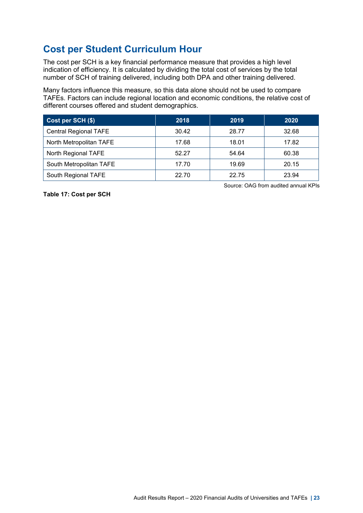### <span id="page-26-0"></span>**Cost per Student Curriculum Hour**

The cost per SCH is a key financial performance measure that provides a high level indication of efficiency. It is calculated by dividing the total cost of services by the total number of SCH of training delivered, including both DPA and other training delivered.

Many factors influence this measure, so this data alone should not be used to compare TAFEs. Factors can include regional location and economic conditions, the relative cost of different courses offered and student demographics.

| Cost per SCH (\$)            | 2018  | 2019  | 2020  |
|------------------------------|-------|-------|-------|
| <b>Central Regional TAFE</b> | 30.42 | 28.77 | 32.68 |
| North Metropolitan TAFE      | 17.68 | 18.01 | 17.82 |
| North Regional TAFE          | 52.27 | 54.64 | 60.38 |
| South Metropolitan TAFE      | 17.70 | 19.69 | 20.15 |
| South Regional TAFE          | 22.70 | 22.75 | 23.94 |

**Table 17: Cost per SCH** 

Source: OAG from audited annual KPIs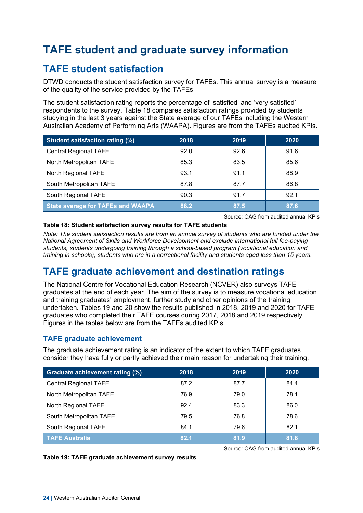## <span id="page-27-0"></span>**TAFE student and graduate survey information**

### <span id="page-27-1"></span>**TAFE student satisfaction**

DTWD conducts the student satisfaction survey for TAFEs. This annual survey is a measure of the quality of the service provided by the TAFEs.

The student satisfaction rating reports the percentage of 'satisfied' and 'very satisfied' respondents to the survey. Table 18 compares satisfaction ratings provided by students studying in the last 3 years against the State average of our TAFEs including the Western Australian Academy of Performing Arts (WAAPA). Figures are from the TAFEs audited KPIs.

| <b>Student satisfaction rating (%)</b>   | 2018 | 2019 | 2020 |
|------------------------------------------|------|------|------|
| <b>Central Regional TAFE</b>             | 92.0 | 92.6 | 91.6 |
| North Metropolitan TAFE                  | 85.3 | 83.5 | 85.6 |
| North Regional TAFE                      | 93.1 | 91.1 | 88.9 |
| South Metropolitan TAFE                  | 87.8 | 87.7 | 86.8 |
| South Regional TAFE                      | 90.3 | 91.7 | 92.1 |
| <b>State average for TAFEs and WAAPA</b> | 88.2 | 87.5 | 87.6 |

Source: OAG from audited annual KPIs

#### **Table 18: Student satisfaction survey results for TAFE students**

*Note: The student satisfaction results are from an annual survey of students who are funded under the National Agreement of Skills and Workforce Development and exclude international full fee-paying students, students undergoing training through a school-based program (vocational education and training in schools), students who are in a correctional facility and students aged less than 15 years.*

### <span id="page-27-2"></span>**TAFE graduate achievement and destination ratings**

The National Centre for Vocational Education Research (NCVER) also surveys TAFE graduates at the end of each year. The aim of the survey is to measure vocational education and training graduates' employment, further study and other opinions of the training undertaken. Tables 19 and 20 show the results published in 2018, 2019 and 2020 for TAFE graduates who completed their TAFE courses during 2017, 2018 and 2019 respectively. Figures in the tables below are from the TAFEs audited KPIs.

#### **TAFE graduate achievement**

The graduate achievement rating is an indicator of the extent to which TAFE graduates consider they have fully or partly achieved their main reason for undertaking their training.

| Graduate achievement rating (%) | 2018 | 2019 | 2020 |
|---------------------------------|------|------|------|
| <b>Central Regional TAFE</b>    | 87.2 | 87.7 | 84.4 |
| North Metropolitan TAFE         | 76.9 | 79.0 | 78.1 |
| North Regional TAFE             | 92.4 | 83.3 | 86.0 |
| South Metropolitan TAFE         | 79.5 | 76.8 | 78.6 |
| South Regional TAFE             | 84.1 | 79.6 | 82.1 |
| <b>TAFE Australia</b>           | 82.1 | 81.9 | 81.8 |



Source: OAG from audited annual KPIs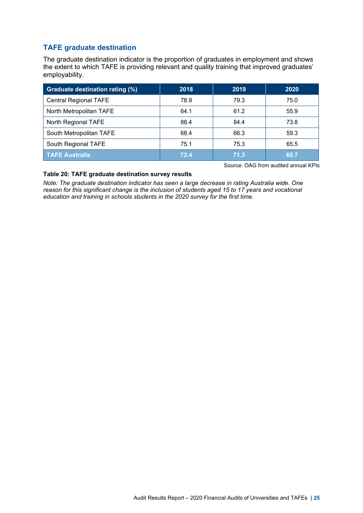#### **TAFE graduate destination**

The graduate destination indicator is the proportion of graduates in employment and shows the extent to which TAFE is providing relevant and quality training that improved graduates' employability.

| <b>Graduate destination rating (%)</b> | 2018 | 2019 | 2020 |
|----------------------------------------|------|------|------|
| <b>Central Regional TAFE</b>           | 78.9 | 79.3 | 75.0 |
| North Metropolitan TAFE                | 64.1 | 61.2 | 55.9 |
| North Regional TAFE                    | 88.4 | 84.4 | 73.8 |
| South Metropolitan TAFE                | 68.4 | 66.3 | 59.3 |
| South Regional TAFE                    | 75.1 | 75.3 | 65.5 |
| <b>TAFE Australia</b>                  | 72.4 | 71.3 | 65.7 |

Source: OAG from audited annual KPIs

#### **Table 20: TAFE graduate destination survey results**

*Note: The graduate destination indicator has seen a large decrease in rating Australia wide. One reason for this significant change is the inclusion of students aged 15 to 17 years and vocational education and training in schools students in the 2020 survey for the first time.*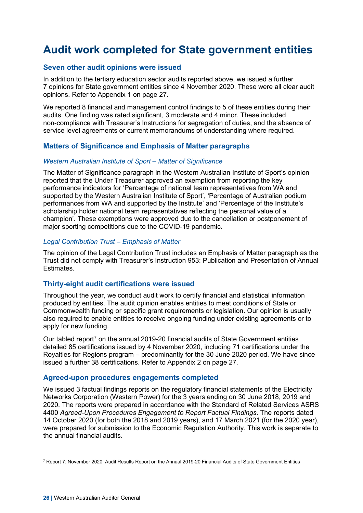### <span id="page-29-0"></span>**Audit work completed for State government entities**

#### <span id="page-29-1"></span>**Seven other audit opinions were issued**

In addition to the tertiary education sector audits reported above, we issued a further 7 opinions for State government entities since 4 November 2020. These were all clear audit opinions. Refer to Appendix 1 on page [27.](#page-30-0)

We reported 8 financial and management control findings to 5 of these entities during their audits. One finding was rated significant, 3 moderate and 4 minor. These included non-compliance with Treasurer's Instructions for segregation of duties, and the absence of service level agreements or current memorandums of understanding where required.

#### **Matters of Significance and Emphasis of Matter paragraphs**

#### *Western Australian Institute of Sport – Matter of Significance*

The Matter of Significance paragraph in the Western Australian Institute of Sport's opinion reported that the Under Treasurer approved an exemption from reporting the key performance indicators for 'Percentage of national team representatives from WA and supported by the Western Australian Institute of Sport', 'Percentage of Australian podium performances from WA and supported by the Institute' and 'Percentage of the Institute's scholarship holder national team representatives reflecting the personal value of a champion'. These exemptions were approved due to the cancellation or postponement of major sporting competitions due to the COVID-19 pandemic.

#### *Legal Contribution Trust – Emphasis of Matter*

The opinion of the Legal Contribution Trust includes an Emphasis of Matter paragraph as the Trust did not comply with Treasurer's Instruction 953: Publication and Presentation of Annual Estimates.

#### **Thirty-eight audit certifications were issued**

Throughout the year, we conduct audit work to certify financial and statistical information produced by entities. The audit opinion enables entities to meet conditions of State or Commonwealth funding or specific grant requirements or legislation. Our opinion is usually also required to enable entities to receive ongoing funding under existing agreements or to apply for new funding.

Our tabled report<sup>[7](#page-29-2)</sup> on the annual 2019-20 financial audits of State Government entities detailed 85 certifications issued by 4 November 2020, including 71 certifications under the Royalties for Regions program – predominantly for the 30 June 2020 period. We have since issued a further 38 certifications. Refer to Appendix 2 on page 27.

#### **Agreed-upon procedures engagements completed**

We issued 3 factual findings reports on the regulatory financial statements of the Electricity Networks Corporation (Western Power) for the 3 years ending on 30 June 2018, 2019 and 2020. The reports were prepared in accordance with the Standard of Related Services ASRS 4400 *Agreed-Upon Procedures Engagement to Report Factual Findings*. The reports dated 14 October 2020 (for both the 2018 and 2019 years), and 17 March 2021 (for the 2020 year), were prepared for submission to the Economic Regulation Authority. This work is separate to the annual financial audits.

<span id="page-29-2"></span><sup>7</sup> Report 7: November 2020, Audit Results Report on the Annual 2019-20 Financial Audits of State Government Entities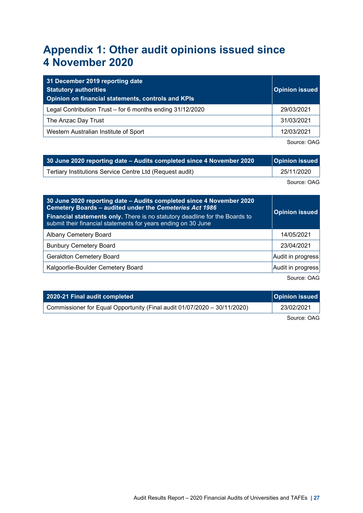### <span id="page-30-0"></span>**Appendix 1: Other audit opinions issued since 4 November 2020**

| 31 December 2019 reporting date<br><b>Statutory authorities</b><br>Opinion on financial statements, controls and KPIs | <b>Opinion issued</b> |
|-----------------------------------------------------------------------------------------------------------------------|-----------------------|
| Legal Contribution Trust – for 6 months ending 31/12/2020                                                             | 29/03/2021            |
| The Anzac Day Trust                                                                                                   | 31/03/2021            |
| Western Australian Institute of Sport                                                                                 | 12/03/2021            |

Source: OAG

| 30 June 2020 reporting date – Audits completed since 4 November 2020 | Opinion issued |
|----------------------------------------------------------------------|----------------|
| Tertiary Institutions Service Centre Ltd (Request audit)             | 25/11/2020     |

Source: OAG

| 30 June 2020 reporting date - Audits completed since 4 November 2020<br>Cemetery Boards - audited under the Cemeteries Act 1986<br>Financial statements only. There is no statutory deadline for the Boards to<br>submit their financial statements for years ending on 30 June | <b>Opinion issued</b> |
|---------------------------------------------------------------------------------------------------------------------------------------------------------------------------------------------------------------------------------------------------------------------------------|-----------------------|
| <b>Albany Cemetery Board</b>                                                                                                                                                                                                                                                    | 14/05/2021            |
| <b>Bunbury Cemetery Board</b>                                                                                                                                                                                                                                                   | 23/04/2021            |
| <b>Geraldton Cemetery Board</b>                                                                                                                                                                                                                                                 | Audit in progress     |
| Kalgoorlie-Boulder Cemetery Board                                                                                                                                                                                                                                               | Audit in progress     |
|                                                                                                                                                                                                                                                                                 | Source: OAG           |

| 2020-21 Final audit completed                                            | Opinion issued |
|--------------------------------------------------------------------------|----------------|
| Commissioner for Equal Opportunity (Final audit 01/07/2020 - 30/11/2020) | 23/02/2021     |
|                                                                          |                |

Source: OAG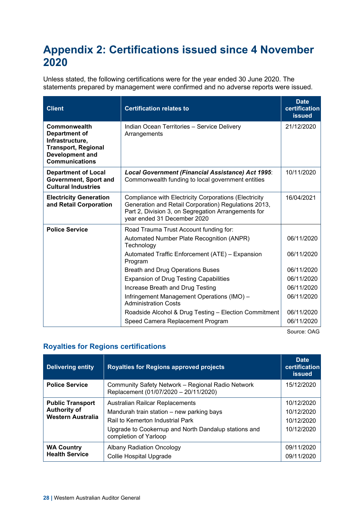### <span id="page-31-0"></span>**Appendix 2: Certifications issued since 4 November 2020**

Unless stated, the following certifications were for the year ended 30 June 2020. The statements prepared by management were confirmed and no adverse reports were issued.

| <b>Client</b>                                                                                                                     | <b>Certification relates to</b>                                                                                                                                                                     | <b>Date</b><br>certification<br><b>issued</b> |
|-----------------------------------------------------------------------------------------------------------------------------------|-----------------------------------------------------------------------------------------------------------------------------------------------------------------------------------------------------|-----------------------------------------------|
| Commonwealth<br>Department of<br>Infrastructure,<br><b>Transport, Regional</b><br><b>Development and</b><br><b>Communications</b> | Indian Ocean Territories - Service Delivery<br>Arrangements                                                                                                                                         | 21/12/2020                                    |
| <b>Department of Local</b><br>Government, Sport and<br><b>Cultural Industries</b>                                                 | Local Government (Financial Assistance) Act 1995:<br>Commonwealth funding to local government entities                                                                                              | 10/11/2020                                    |
| <b>Electricity Generation</b><br>and Retail Corporation                                                                           | Compliance with Electricity Corporations (Electricity<br>Generation and Retail Corporation) Regulations 2013,<br>Part 2, Division 3, on Segregation Arrangements for<br>year ended 31 December 2020 | 16/04/2021                                    |
| <b>Police Service</b>                                                                                                             | Road Trauma Trust Account funding for:                                                                                                                                                              |                                               |
|                                                                                                                                   | Automated Number Plate Recognition (ANPR)<br>Technology                                                                                                                                             | 06/11/2020                                    |
|                                                                                                                                   | Automated Traffic Enforcement (ATE) - Expansion<br>Program                                                                                                                                          | 06/11/2020                                    |
|                                                                                                                                   | <b>Breath and Drug Operations Buses</b>                                                                                                                                                             | 06/11/2020                                    |
|                                                                                                                                   | <b>Expansion of Drug Testing Capabilities</b>                                                                                                                                                       | 06/11/2020                                    |
|                                                                                                                                   | Increase Breath and Drug Testing                                                                                                                                                                    | 06/11/2020                                    |
|                                                                                                                                   | Infringement Management Operations (IMO) -<br><b>Administration Costs</b>                                                                                                                           | 06/11/2020                                    |
|                                                                                                                                   | Roadside Alcohol & Drug Testing - Election Commitment                                                                                                                                               | 06/11/2020                                    |
|                                                                                                                                   | Speed Camera Replacement Program                                                                                                                                                                    | 06/11/2020                                    |

Source: OAG

#### **Royalties for Regions certifications**

| <b>Delivering entity</b>                                            | <b>Royalties for Regions approved projects</b>                                                                                                                                                    | <b>Date</b><br>certification<br><b>issued</b>        |
|---------------------------------------------------------------------|---------------------------------------------------------------------------------------------------------------------------------------------------------------------------------------------------|------------------------------------------------------|
| <b>Police Service</b>                                               | Community Safety Network - Regional Radio Network<br>Replacement (01/07/2020 - 20/11/2020)                                                                                                        | 15/12/2020                                           |
| <b>Public Transport</b><br><b>Authority of</b><br>Western Australia | Australian Railcar Replacements<br>Mandurah train station - new parking bays<br>Rail to Kemerton Industrial Park<br>Upgrade to Cookernup and North Dandalup stations and<br>completion of Yarloop | 10/12/2020<br>10/12/2020<br>10/12/2020<br>10/12/2020 |
| <b>WA Country</b><br><b>Health Service</b>                          | Albany Radiation Oncology<br>Collie Hospital Upgrade                                                                                                                                              | 09/11/2020<br>09/11/2020                             |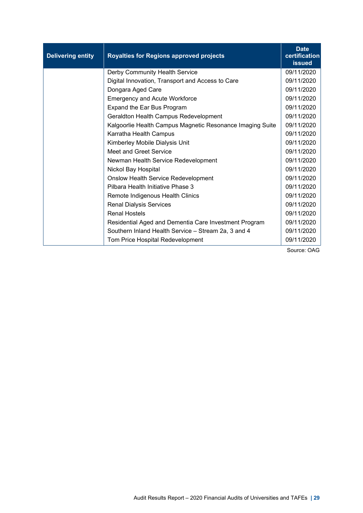| <b>Delivering entity</b> | <b>Royalties for Regions approved projects</b>            | <b>Date</b><br>certification<br><b>issued</b> |
|--------------------------|-----------------------------------------------------------|-----------------------------------------------|
|                          | Derby Community Health Service                            | 09/11/2020                                    |
|                          | Digital Innovation, Transport and Access to Care          | 09/11/2020                                    |
|                          | Dongara Aged Care                                         | 09/11/2020                                    |
|                          | <b>Emergency and Acute Workforce</b>                      | 09/11/2020                                    |
|                          | Expand the Ear Bus Program                                | 09/11/2020                                    |
|                          | Geraldton Health Campus Redevelopment                     | 09/11/2020                                    |
|                          | Kalgoorlie Health Campus Magnetic Resonance Imaging Suite | 09/11/2020                                    |
|                          | Karratha Health Campus                                    | 09/11/2020                                    |
|                          | Kimberley Mobile Dialysis Unit                            | 09/11/2020                                    |
|                          | <b>Meet and Greet Service</b>                             | 09/11/2020                                    |
|                          | Newman Health Service Redevelopment                       | 09/11/2020                                    |
|                          | Nickol Bay Hospital                                       | 09/11/2020                                    |
|                          | <b>Onslow Health Service Redevelopment</b>                | 09/11/2020                                    |
|                          | Pilbara Health Initiative Phase 3                         | 09/11/2020                                    |
|                          | Remote Indigenous Health Clinics                          | 09/11/2020                                    |
|                          | <b>Renal Dialysis Services</b>                            | 09/11/2020                                    |
|                          | <b>Renal Hostels</b>                                      | 09/11/2020                                    |
|                          | Residential Aged and Dementia Care Investment Program     | 09/11/2020                                    |
|                          | Southern Inland Health Service - Stream 2a, 3 and 4       | 09/11/2020                                    |
|                          | Tom Price Hospital Redevelopment                          | 09/11/2020                                    |

Source: OAG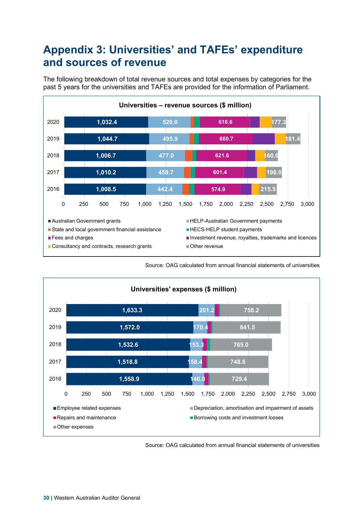### <span id="page-33-0"></span>**Appendix 3: Universities' and TAFEs' expenditure and sources of revenue**

The following breakdown of total revenue sources and total expenses by categories for the past 5 years for the universities and TAFEs are provided for the information of Parliament.



Source: OAG calculated from annual financial statements of universities



Source: OAG calculated from annual financial statements of universities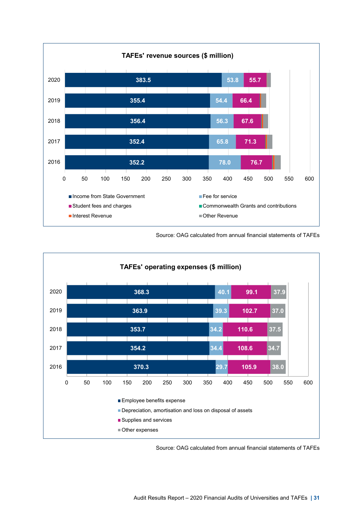

Source: OAG calculated from annual financial statements of TAFEs



Source: OAG calculated from annual financial statements of TAFEs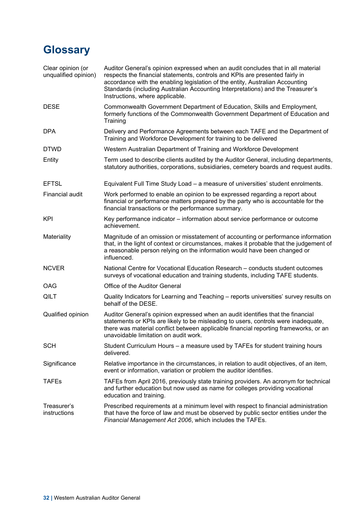# <span id="page-35-0"></span>**Glossary**

| Clear opinion (or<br>unqualified opinion) | Auditor General's opinion expressed when an audit concludes that in all material<br>respects the financial statements, controls and KPIs are presented fairly in<br>accordance with the enabling legislation of the entity, Australian Accounting<br>Standards (including Australian Accounting Interpretations) and the Treasurer's<br>Instructions, where applicable. |
|-------------------------------------------|-------------------------------------------------------------------------------------------------------------------------------------------------------------------------------------------------------------------------------------------------------------------------------------------------------------------------------------------------------------------------|
| <b>DESE</b>                               | Commonwealth Government Department of Education, Skills and Employment,<br>formerly functions of the Commonwealth Government Department of Education and<br>Training                                                                                                                                                                                                    |
| <b>DPA</b>                                | Delivery and Performance Agreements between each TAFE and the Department of<br>Training and Workforce Development for training to be delivered                                                                                                                                                                                                                          |
| <b>DTWD</b>                               | Western Australian Department of Training and Workforce Development                                                                                                                                                                                                                                                                                                     |
| Entity                                    | Term used to describe clients audited by the Auditor General, including departments,<br>statutory authorities, corporations, subsidiaries, cemetery boards and request audits.                                                                                                                                                                                          |
| <b>EFTSL</b>                              | Equivalent Full Time Study Load - a measure of universities' student enrolments.                                                                                                                                                                                                                                                                                        |
| Financial audit                           | Work performed to enable an opinion to be expressed regarding a report about<br>financial or performance matters prepared by the party who is accountable for the<br>financial transactions or the performance summary.                                                                                                                                                 |
| <b>KPI</b>                                | Key performance indicator – information about service performance or outcome<br>achievement.                                                                                                                                                                                                                                                                            |
| Materiality                               | Magnitude of an omission or misstatement of accounting or performance information<br>that, in the light of context or circumstances, makes it probable that the judgement of<br>a reasonable person relying on the information would have been changed or<br>influenced.                                                                                                |
| <b>NCVER</b>                              | National Centre for Vocational Education Research - conducts student outcomes<br>surveys of vocational education and training students, including TAFE students.                                                                                                                                                                                                        |
| OAG                                       | Office of the Auditor General                                                                                                                                                                                                                                                                                                                                           |
| QILT                                      | Quality Indicators for Learning and Teaching - reports universities' survey results on<br>behalf of the DESE.                                                                                                                                                                                                                                                           |
| Qualified opinion                         | Auditor General's opinion expressed when an audit identifies that the financial<br>statements or KPIs are likely to be misleading to users, controls were inadequate,<br>there was material conflict between applicable financial reporting frameworks, or an<br>unavoidable limitation on audit work.                                                                  |
| <b>SCH</b>                                | Student Curriculum Hours - a measure used by TAFEs for student training hours<br>delivered.                                                                                                                                                                                                                                                                             |
| Significance                              | Relative importance in the circumstances, in relation to audit objectives, of an item,<br>event or information, variation or problem the auditor identifies.                                                                                                                                                                                                            |
| TAFEs                                     | TAFEs from April 2016, previously state training providers. An acronym for technical<br>and further education but now used as name for colleges providing vocational<br>education and training.                                                                                                                                                                         |
| Treasurer's<br>instructions               | Prescribed requirements at a minimum level with respect to financial administration<br>that have the force of law and must be observed by public sector entities under the<br>Financial Management Act 2006, which includes the TAFEs.                                                                                                                                  |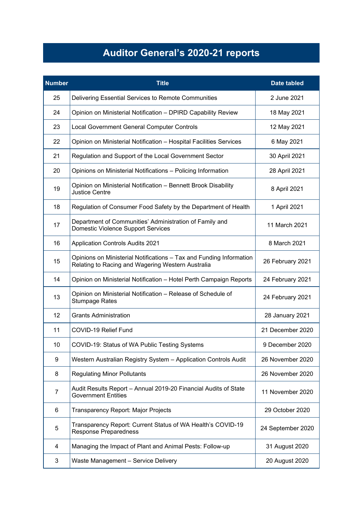# **Auditor General's 2020-21 reports**

| <b>Number</b> | <b>Title</b>                                                                                                             | <b>Date tabled</b> |
|---------------|--------------------------------------------------------------------------------------------------------------------------|--------------------|
| 25            | Delivering Essential Services to Remote Communities                                                                      | 2 June 2021        |
| 24            | Opinion on Ministerial Notification - DPIRD Capability Review                                                            | 18 May 2021        |
| 23            | Local Government General Computer Controls                                                                               | 12 May 2021        |
| 22            | Opinion on Ministerial Notification - Hospital Facilities Services                                                       | 6 May 2021         |
| 21            | Regulation and Support of the Local Government Sector                                                                    | 30 April 2021      |
| 20            | Opinions on Ministerial Notifications - Policing Information                                                             | 28 April 2021      |
| 19            | Opinion on Ministerial Notification - Bennett Brook Disability<br><b>Justice Centre</b>                                  | 8 April 2021       |
| 18            | Regulation of Consumer Food Safety by the Department of Health                                                           | 1 April 2021       |
| 17            | Department of Communities' Administration of Family and<br><b>Domestic Violence Support Services</b>                     | 11 March 2021      |
| 16            | <b>Application Controls Audits 2021</b>                                                                                  | 8 March 2021       |
| 15            | Opinions on Ministerial Notifications - Tax and Funding Information<br>Relating to Racing and Wagering Western Australia | 26 February 2021   |
| 14            | Opinion on Ministerial Notification - Hotel Perth Campaign Reports                                                       | 24 February 2021   |
| 13            | Opinion on Ministerial Notification - Release of Schedule of<br><b>Stumpage Rates</b>                                    | 24 February 2021   |
| 12            | <b>Grants Administration</b>                                                                                             | 28 January 2021    |
| 11            | COVID-19 Relief Fund                                                                                                     | 21 December 2020   |
| 10            | COVID-19: Status of WA Public Testing Systems                                                                            | 9 December 2020    |
| 9             | Western Australian Registry System - Application Controls Audit                                                          | 26 November 2020   |
| 8             | <b>Regulating Minor Pollutants</b>                                                                                       | 26 November 2020   |
| 7             | Audit Results Report - Annual 2019-20 Financial Audits of State<br><b>Government Entities</b>                            | 11 November 2020   |
| 6             | Transparency Report: Major Projects                                                                                      | 29 October 2020    |
| 5             | Transparency Report: Current Status of WA Health's COVID-19<br><b>Response Preparedness</b>                              | 24 September 2020  |
| 4             | Managing the Impact of Plant and Animal Pests: Follow-up                                                                 | 31 August 2020     |
| 3             | Waste Management - Service Delivery                                                                                      | 20 August 2020     |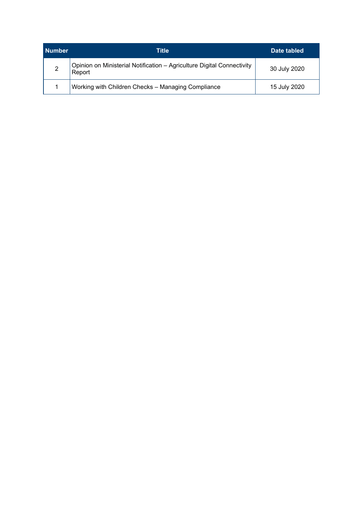| <b>Number</b> | Title                                                                            | Date tabled  |
|---------------|----------------------------------------------------------------------------------|--------------|
| 2             | Opinion on Ministerial Notification - Agriculture Digital Connectivity<br>Report | 30 July 2020 |
|               | Working with Children Checks - Managing Compliance                               | 15 July 2020 |